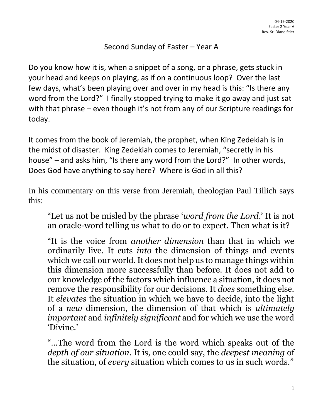## Second Sunday of Easter – Year A

Do you know how it is, when a snippet of a song, or a phrase, gets stuck in your head and keeps on playing, as if on a continuous loop? Over the last few days, what's been playing over and over in my head is this: "Is there any word from the Lord?" I finally stopped trying to make it go away and just sat with that phrase – even though it's not from any of our Scripture readings for today.

It comes from the book of Jeremiah, the prophet, when King Zedekiah is in the midst of disaster. King Zedekiah comes to Jeremiah, "secretly in his house" – and asks him, "Is there any word from the Lord?" In other words, Does God have anything to say here? Where is God in all this?

In his commentary on this verse from Jeremiah, theologian Paul Tillich says this:

"Let us not be misled by the phrase '*word from the Lord*.' It is not an oracle-word telling us what to do or to expect. Then what is it?

"It is the voice from *another dimension* than that in which we ordinarily live. It cuts *into* the dimension of things and events which we call our world. It does not help us to manage things within this dimension more successfully than before. It does not add to our knowledge of the factors which influence a situation, it does not remove the responsibility for our decisions. It *does* something else. It *elevates* the situation in which we have to decide, into the light of a *new* dimension, the dimension of that which is *ultimately important* and *infinitely significant* and for which we use the word 'Divine.'

"…The word from the Lord is the word which speaks out of the *depth of our situation*. It is, one could say, the *deepest meaning* of the situation, of *every* situation which comes to us in such words."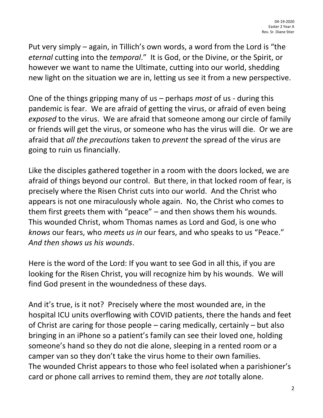Put very simply – again, in Tillich's own words, a word from the Lord is "the *eternal* cutting into the *temporal*." It is God, or the Divine, or the Spirit, or however we want to name the Ultimate, cutting into our world, shedding new light on the situation we are in, letting us see it from a new perspective.

One of the things gripping many of us – perhaps *most* of us - during this pandemic is fear. We are afraid of getting the virus, or afraid of even being *exposed* to the virus. We are afraid that someone among our circle of family or friends will get the virus, or someone who has the virus will die. Or we are afraid that *all the precautions* taken to *prevent* the spread of the virus are going to ruin us financially.

Like the disciples gathered together in a room with the doors locked, we are afraid of things beyond our control. But there, in that locked room of fear, is precisely where the Risen Christ cuts into our world. And the Christ who appears is not one miraculously whole again. No, the Christ who comes to them first greets them with "peace" – and then shows them his wounds. This wounded Christ, whom Thomas names as Lord and God, is one who *knows* our fears, who *meets us in* our fears, and who speaks to us "Peace." *And then shows us his wounds*.

Here is the word of the Lord: If you want to see God in all this, if you are looking for the Risen Christ, you will recognize him by his wounds. We will find God present in the woundedness of these days.

And it's true, is it not? Precisely where the most wounded are, in the hospital ICU units overflowing with COVID patients, there the hands and feet of Christ are caring for those people – caring medically, certainly – but also bringing in an iPhone so a patient's family can see their loved one, holding someone's hand so they do not die alone, sleeping in a rented room or a camper van so they don't take the virus home to their own families. The wounded Christ appears to those who feel isolated when a parishioner's card or phone call arrives to remind them, they are *not* totally alone.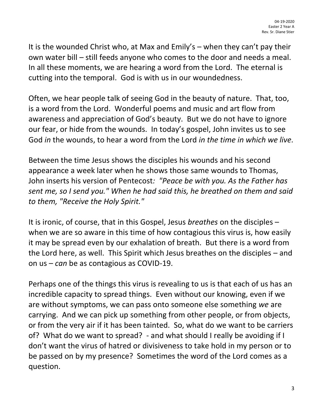It is the wounded Christ who, at Max and Emily's – when they can't pay their own water bill – still feeds anyone who comes to the door and needs a meal. In all these moments, we are hearing a word from the Lord. The eternal is cutting into the temporal. God is with us in our woundedness.

Often, we hear people talk of seeing God in the beauty of nature. That, too, is a word from the Lord. Wonderful poems and music and art flow from awareness and appreciation of God's beauty. But we do not have to ignore our fear, or hide from the wounds. In today's gospel, John invites us to see God *in* the wounds, to hear a word from the Lord *in the time in which we live.* 

Between the time Jesus shows the disciples his wounds and his second appearance a week later when he shows those same wounds to Thomas, John inserts his version of Pentecost*: "Peace be with you. As the Father has sent me, so I send you." When he had said this, he breathed on them and said to them, "Receive the Holy Spirit."*

It is ironic, of course, that in this Gospel, Jesus *breathes* on the disciples – when we are so aware in this time of how contagious this virus is, how easily it may be spread even by our exhalation of breath. But there is a word from the Lord here, as well. This Spirit which Jesus breathes on the disciples – and on us – *can* be as contagious as COVID-19.

Perhaps one of the things this virus is revealing to us is that each of us has an incredible capacity to spread things. Even without our knowing, even if we are without symptoms, we can pass onto someone else something *we* are carrying. And we can pick up something from other people, or from objects, or from the very air if it has been tainted. So, what do we want to be carriers of? What do we want to spread? - and what should I really be avoiding if I don't want the virus of hatred or divisiveness to take hold in my person or to be passed on by my presence? Sometimes the word of the Lord comes as a question.